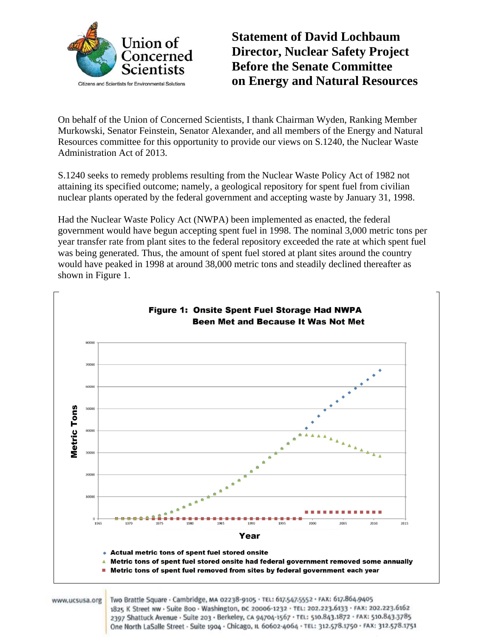

**Statement of David Lochbaum Director, Nuclear Safety Project Before the Senate Committee on Energy and Natural Resources** 

On behalf of the Union of Concerned Scientists, I thank Chairman Wyden, Ranking Member Murkowski, Senator Feinstein, Senator Alexander, and all members of the Energy and Natural Resources committee for this opportunity to provide our views on S.1240, the Nuclear Waste Administration Act of 2013.

S.1240 seeks to remedy problems resulting from the Nuclear Waste Policy Act of 1982 not attaining its specified outcome; namely, a geological repository for spent fuel from civilian nuclear plants operated by the federal government and accepting waste by January 31, 1998.

Had the Nuclear Waste Policy Act (NWPA) been implemented as enacted, the federal government would have begun accepting spent fuel in 1998. The nominal 3,000 metric tons per year transfer rate from plant sites to the federal repository exceeded the rate at which spent fuel was being generated. Thus, the amount of spent fuel stored at plant sites around the country would have peaked in 1998 at around 38,000 metric tons and steadily declined thereafter as shown in Figure 1.



One North LaSalle Street - Suite 1904 - Chicago, IL 60602-4064 - TEL: 312.578.1750 - FAX: 312.578.1751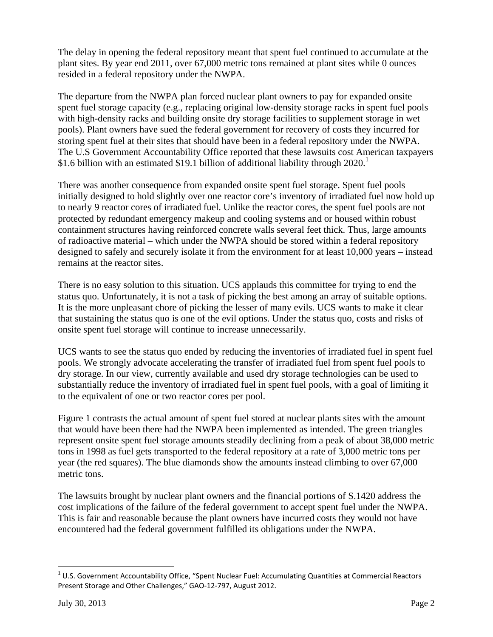The delay in opening the federal repository meant that spent fuel continued to accumulate at the plant sites. By year end 2011, over 67,000 metric tons remained at plant sites while 0 ounces resided in a federal repository under the NWPA.

The departure from the NWPA plan forced nuclear plant owners to pay for expanded onsite spent fuel storage capacity (e.g., replacing original low-density storage racks in spent fuel pools with high-density racks and building onsite dry storage facilities to supplement storage in wet pools). Plant owners have sued the federal government for recovery of costs they incurred for storing spent fuel at their sites that should have been in a federal repository under the NWPA. The U.S Government Accountability Office reported that these lawsuits cost American taxpayers \$1.6 billion with an estimated \$19.1 billion of additional liability through  $2020$ .<sup>1</sup>

There was another consequence from expanded onsite spent fuel storage. Spent fuel pools initially designed to hold slightly over one reactor core's inventory of irradiated fuel now hold up to nearly 9 reactor cores of irradiated fuel. Unlike the reactor cores, the spent fuel pools are not protected by redundant emergency makeup and cooling systems and or housed within robust containment structures having reinforced concrete walls several feet thick. Thus, large amounts of radioactive material – which under the NWPA should be stored within a federal repository designed to safely and securely isolate it from the environment for at least 10,000 years – instead remains at the reactor sites.

There is no easy solution to this situation. UCS applauds this committee for trying to end the status quo. Unfortunately, it is not a task of picking the best among an array of suitable options. It is the more unpleasant chore of picking the lesser of many evils. UCS wants to make it clear that sustaining the status quo is one of the evil options. Under the status quo, costs and risks of onsite spent fuel storage will continue to increase unnecessarily.

UCS wants to see the status quo ended by reducing the inventories of irradiated fuel in spent fuel pools. We strongly advocate accelerating the transfer of irradiated fuel from spent fuel pools to dry storage. In our view, currently available and used dry storage technologies can be used to substantially reduce the inventory of irradiated fuel in spent fuel pools, with a goal of limiting it to the equivalent of one or two reactor cores per pool.

Figure 1 contrasts the actual amount of spent fuel stored at nuclear plants sites with the amount that would have been there had the NWPA been implemented as intended. The green triangles represent onsite spent fuel storage amounts steadily declining from a peak of about 38,000 metric tons in 1998 as fuel gets transported to the federal repository at a rate of 3,000 metric tons per year (the red squares). The blue diamonds show the amounts instead climbing to over 67,000 metric tons.

The lawsuits brought by nuclear plant owners and the financial portions of S.1420 address the cost implications of the failure of the federal government to accept spent fuel under the NWPA. This is fair and reasonable because the plant owners have incurred costs they would not have encountered had the federal government fulfilled its obligations under the NWPA.

 $1$  U.S. Government Accountability Office, "Spent Nuclear Fuel: Accumulating Quantities at Commercial Reactors Present Storage and Other Challenges," GAO‐12‐797, August 2012.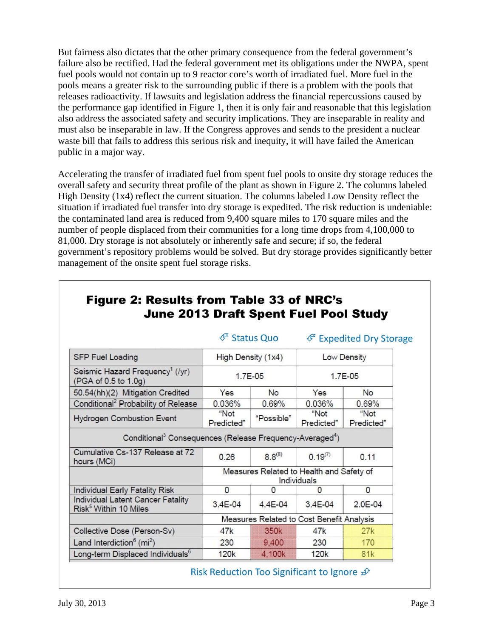But fairness also dictates that the other primary consequence from the federal government's failure also be rectified. Had the federal government met its obligations under the NWPA, spent fuel pools would not contain up to 9 reactor core's worth of irradiated fuel. More fuel in the pools means a greater risk to the surrounding public if there is a problem with the pools that releases radioactivity. If lawsuits and legislation address the financial repercussions caused by the performance gap identified in Figure 1, then it is only fair and reasonable that this legislation also address the associated safety and security implications. They are inseparable in reality and must also be inseparable in law. If the Congress approves and sends to the president a nuclear waste bill that fails to address this serious risk and inequity, it will have failed the American public in a major way.

Accelerating the transfer of irradiated fuel from spent fuel pools to onsite dry storage reduces the overall safety and security threat profile of the plant as shown in Figure 2. The columns labeled High Density (1x4) reflect the current situation. The columns labeled Low Density reflect the situation if irradiated fuel transfer into dry storage is expedited. The risk reduction is undeniable: the contaminated land area is reduced from 9,400 square miles to 170 square miles and the number of people displaced from their communities for a long time drops from 4,100,000 to 81,000. Dry storage is not absolutely or inherently safe and secure; if so, the federal government's repository problems would be solved. But dry storage provides significantly better management of the onsite spent fuel storage risks.

|                                                                                  | ∉ Status Quo       |                  | ∉ Expedited Dry Storage                                 |                    |
|----------------------------------------------------------------------------------|--------------------|------------------|---------------------------------------------------------|--------------------|
| <b>SFP Fuel Loading</b>                                                          | High Density (1x4) |                  | Low Density                                             |                    |
| Seismic Hazard Frequency <sup>1</sup> (/yr)<br>(PGA of 0.5 to 1.0g)              | 1.7E-05            |                  | 1.7E-05                                                 |                    |
| 50.54(hh)(2) Mitigation Credited                                                 | Yes                | No               | Yes                                                     | <b>No</b>          |
| Conditional <sup>2</sup> Probability of Release                                  | 0.036%             | 0.69%            | 0.036%                                                  | 0.69%              |
| <b>Hydrogen Combustion Event</b>                                                 | "Not<br>Predicted" | "Possible"       | "Not<br>Predicted"                                      | "Not<br>Predicted" |
| Conditional <sup>3</sup> Consequences (Release Frequency-Averaged <sup>4</sup> ) |                    |                  |                                                         |                    |
| Cumulative Cs-137 Release at 72<br>hours (MCi)                                   | 0.26               | $8.8^{(8)}$      | $0.19^{(7)}$                                            | 0.11               |
|                                                                                  |                    |                  | Measures Related to Health and Safety of<br>Individuals |                    |
| Individual Early Fatality Risk                                                   | $\mathbf{0}$       | $\Omega$         | $\Omega$                                                | $\circ$            |
|                                                                                  |                    |                  | $3.4E - 04$                                             | 2.0E-04            |
| Individual Latent Cancer Fatality<br>Risk <sup>5</sup> Within 10 Miles           | 3.4E-04            | $4.4E - 04$      |                                                         |                    |
|                                                                                  |                    |                  | Measures Related to Cost Benefit Analysis               |                    |
|                                                                                  | 47k                | 350 <sub>k</sub> | 47k                                                     | 27k                |
| Collective Dose (Person-Sv)<br>Land Interdiction <sup>6</sup> (mi <sup>2</sup> ) | 230                | 9,400            | 230                                                     | 170                |